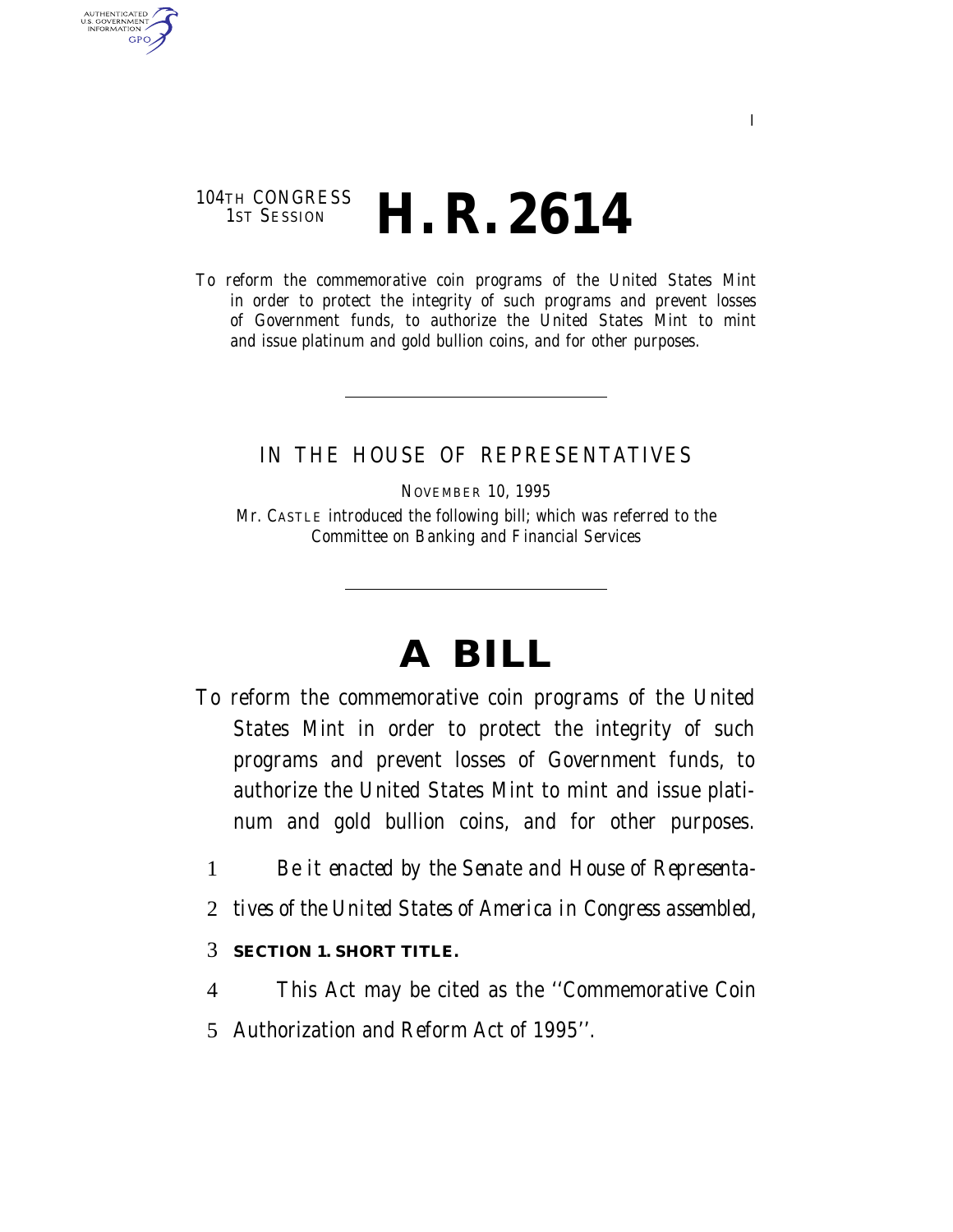### 104TH CONGRESS<br>1st Session H. R. 2614

AUTHENTICATED U.S. GOVERNMENT GPO

> To reform the commemorative coin programs of the United States Mint in order to protect the integrity of such programs and prevent losses of Government funds, to authorize the United States Mint to mint and issue platinum and gold bullion coins, and for other purposes.

### IN THE HOUSE OF REPRESENTATIVES

NOVEMBER 10, 1995

Mr. CASTLE introduced the following bill; which was referred to the Committee on Banking and Financial Services

# **A BILL**

- To reform the commemorative coin programs of the United States Mint in order to protect the integrity of such programs and prevent losses of Government funds, to authorize the United States Mint to mint and issue platinum and gold bullion coins, and for other purposes.
	- 1 *Be it enacted by the Senate and House of Representa-*
	- 2 *tives of the United States of America in Congress assembled,*

#### 3 **SECTION 1. SHORT TITLE.**

4 This Act may be cited as the ''Commemorative Coin 5 Authorization and Reform Act of 1995''.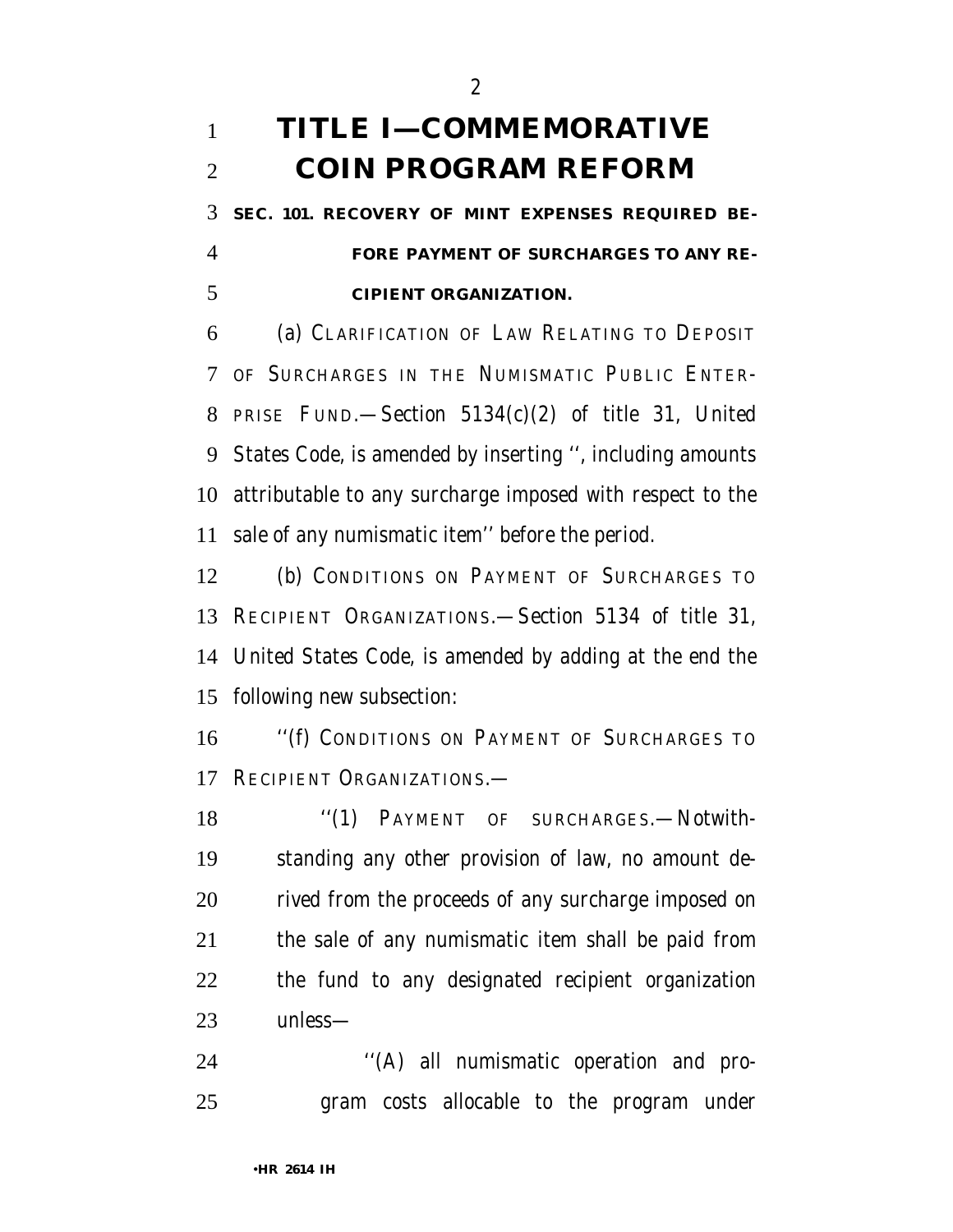## **TITLE I—COMMEMORATIVE COIN PROGRAM REFORM**

 **SEC. 101. RECOVERY OF MINT EXPENSES REQUIRED BE- FORE PAYMENT OF SURCHARGES TO ANY RE-CIPIENT ORGANIZATION.**

 (a) CLARIFICATION OF LAW RELATING TO DEPOSIT OF SURCHARGES IN THE NUMISMATIC PUBLIC ENTER- PRISE FUND.—Section 5134(c)(2) of title 31, United States Code, is amended by inserting '', including amounts attributable to any surcharge imposed with respect to the sale of any numismatic item'' before the period.

 (b) CONDITIONS ON PAYMENT OF SURCHARGES TO RECIPIENT ORGANIZATIONS.—Section 5134 of title 31, United States Code, is amended by adding at the end the following new subsection:

 ''(f) CONDITIONS ON PAYMENT OF SURCHARGES TO RECIPIENT ORGANIZATIONS.—

 ''(1) PAYMENT OF SURCHARGES.—Notwith- standing any other provision of law, no amount de- rived from the proceeds of any surcharge imposed on the sale of any numismatic item shall be paid from the fund to any designated recipient organization unless—

 ''(A) all numismatic operation and pro-gram costs allocable to the program under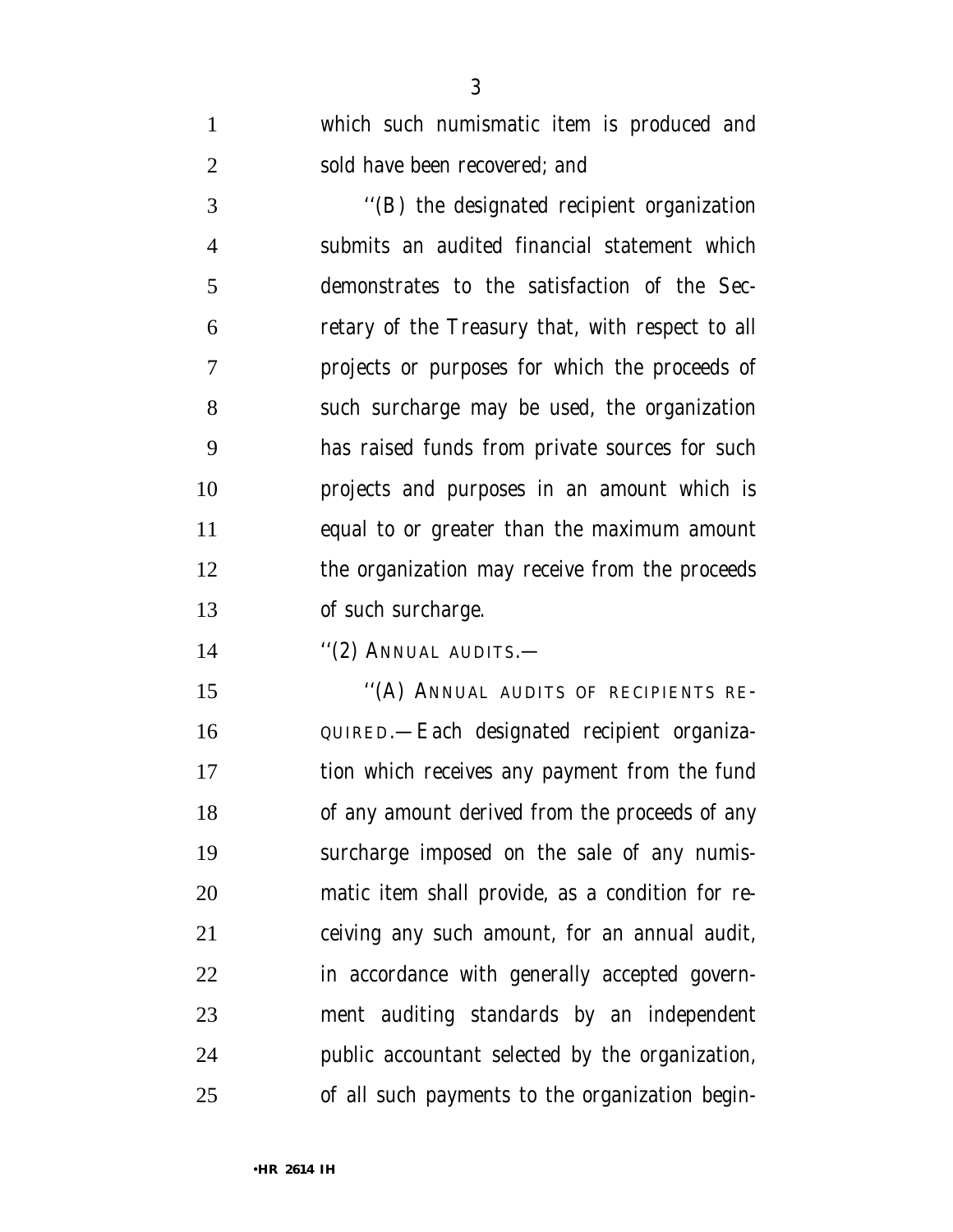which such numismatic item is produced and sold have been recovered; and

 ''(B) the designated recipient organization submits an audited financial statement which demonstrates to the satisfaction of the Sec- retary of the Treasury that, with respect to all projects or purposes for which the proceeds of such surcharge may be used, the organization has raised funds from private sources for such projects and purposes in an amount which is equal to or greater than the maximum amount the organization may receive from the proceeds of such surcharge.

14 "(2) ANNUAL AUDITS.—

15 "(A) ANNUAL AUDITS OF RECIPIENTS RE- QUIRED.—Each designated recipient organiza- tion which receives any payment from the fund of any amount derived from the proceeds of any surcharge imposed on the sale of any numis- matic item shall provide, as a condition for re- ceiving any such amount, for an annual audit, in accordance with generally accepted govern- ment auditing standards by an independent public accountant selected by the organization, of all such payments to the organization begin-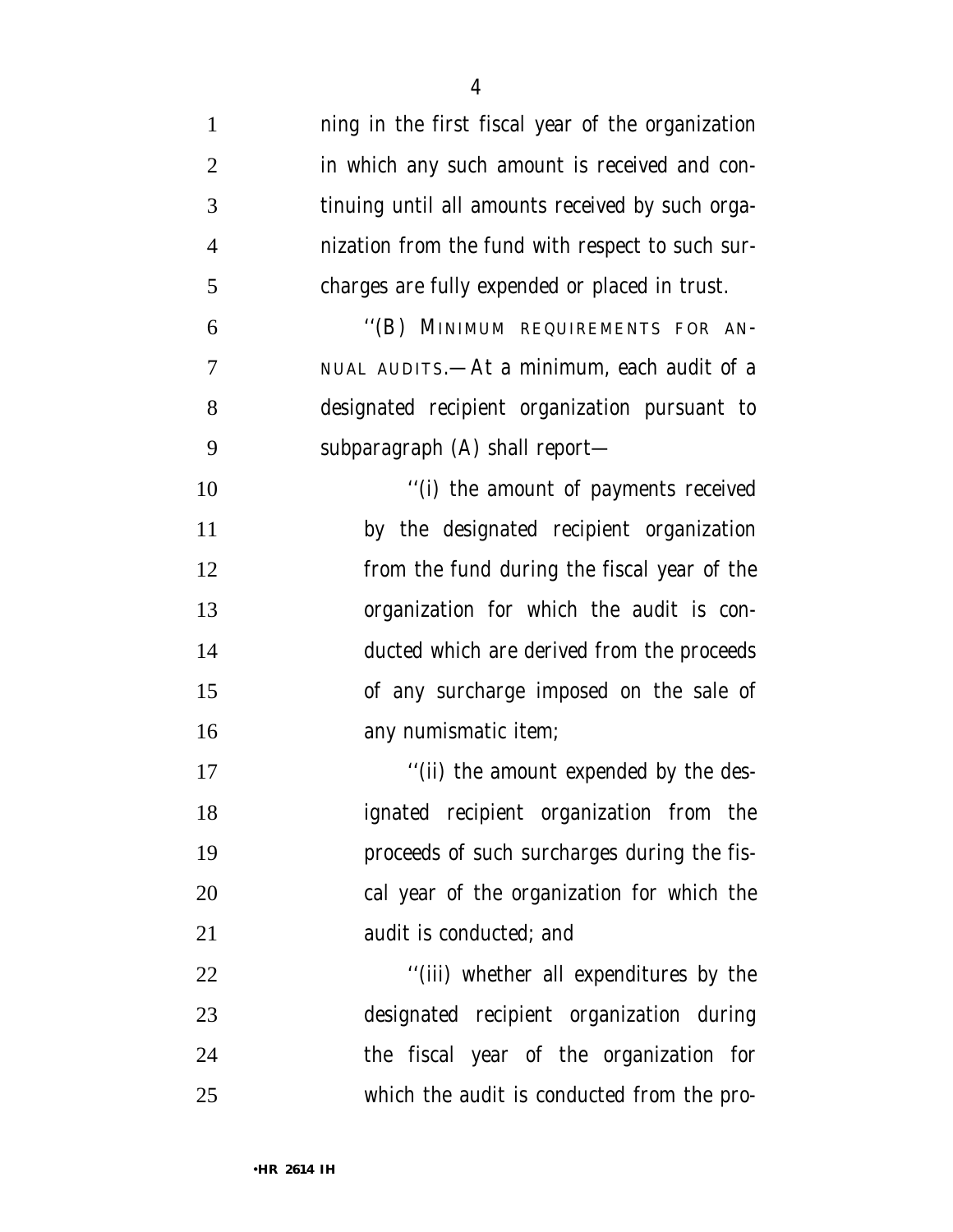| $\mathbf{1}$   | ning in the first fiscal year of the organization |
|----------------|---------------------------------------------------|
| $\overline{2}$ | in which any such amount is received and con-     |
| 3              | tinuing until all amounts received by such orga-  |
| $\overline{4}$ | nization from the fund with respect to such sur-  |
| 5              | charges are fully expended or placed in trust.    |
| 6              | "(B) MINIMUM REQUIREMENTS FOR AN-                 |
| 7              | NUAL AUDITS.—At a minimum, each audit of a        |
| 8              | designated recipient organization pursuant to     |
| 9              | subparagraph (A) shall report—                    |
| 10             | "(i) the amount of payments received              |
| 11             | by the designated recipient organization          |
| 12             | from the fund during the fiscal year of the       |
| 13             | organization for which the audit is con-          |
| 14             | ducted which are derived from the proceeds        |
| 15             | of any surcharge imposed on the sale of           |
| 16             | any numismatic item;                              |
| 17             | "(ii) the amount expended by the des-             |
| 18             | ignated recipient organization from the           |
| 19             | proceeds of such surcharges during the fis-       |
| 20             | cal year of the organization for which the        |
| 21             | audit is conducted; and                           |
| 22             | "(iii) whether all expenditures by the            |
| 23             | designated recipient organization during          |
| 24             | the fiscal year of the organization for           |
| 25             | which the audit is conducted from the pro-        |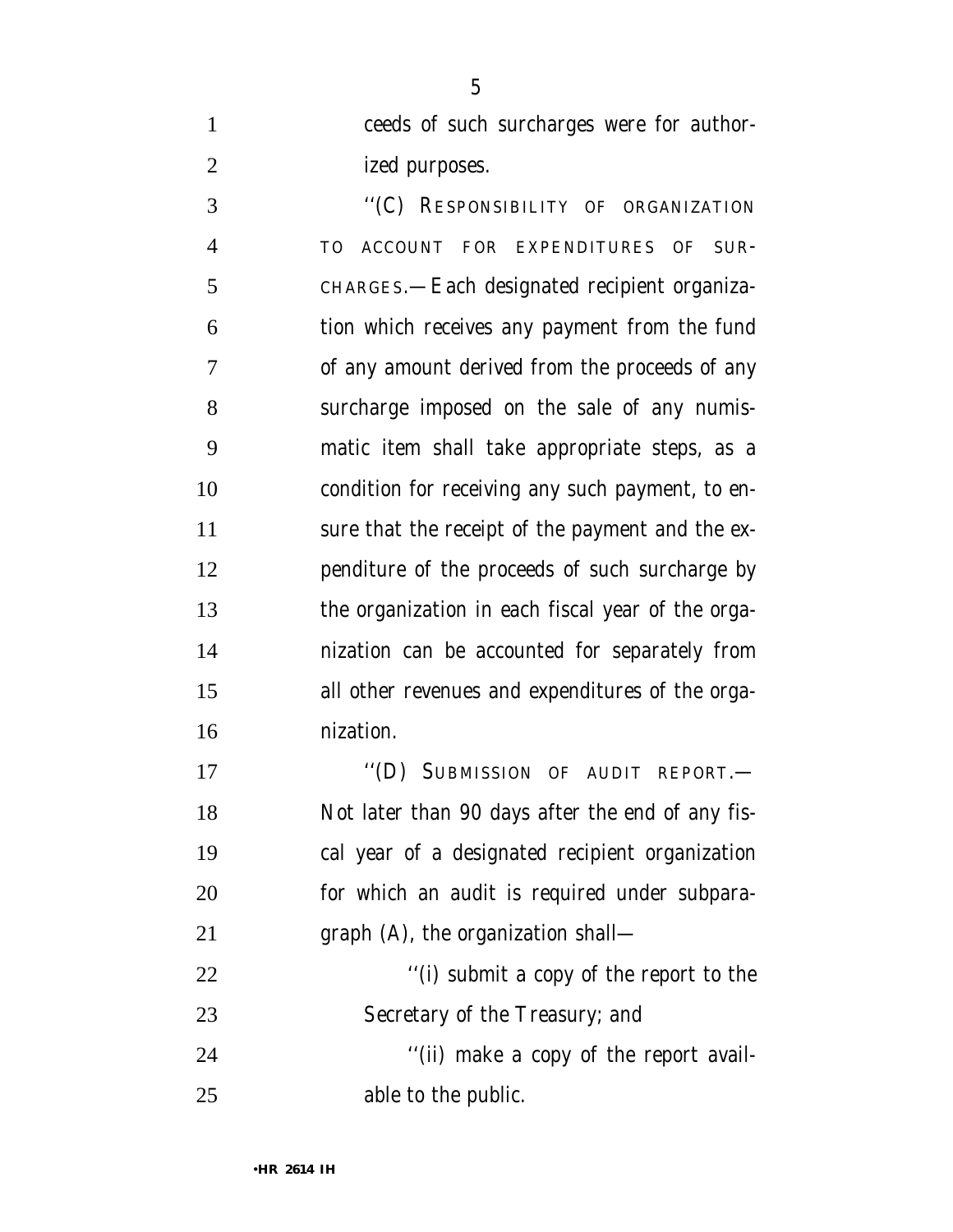ceeds of such surcharges were for author-2 ized purposes.

 ''(C) RESPONSIBILITY OF ORGANIZATION TO ACCOUNT FOR EXPENDITURES OF SUR- CHARGES.—Each designated recipient organiza- tion which receives any payment from the fund of any amount derived from the proceeds of any surcharge imposed on the sale of any numis- matic item shall take appropriate steps, as a condition for receiving any such payment, to en- sure that the receipt of the payment and the ex- penditure of the proceeds of such surcharge by the organization in each fiscal year of the orga- nization can be accounted for separately from all other revenues and expenditures of the orga-nization.

17 "(D) SUBMISSION OF AUDIT REPORT.— Not later than 90 days after the end of any fis- cal year of a designated recipient organization for which an audit is required under subpara-graph (A), the organization shall—

22  $\frac{1}{2}$   $\frac{1}{2}$   $\frac{1}{2}$   $\frac{1}{2}$  submit a copy of the report to the Secretary of the Treasury; and

 ''(ii) make a copy of the report avail-able to the public.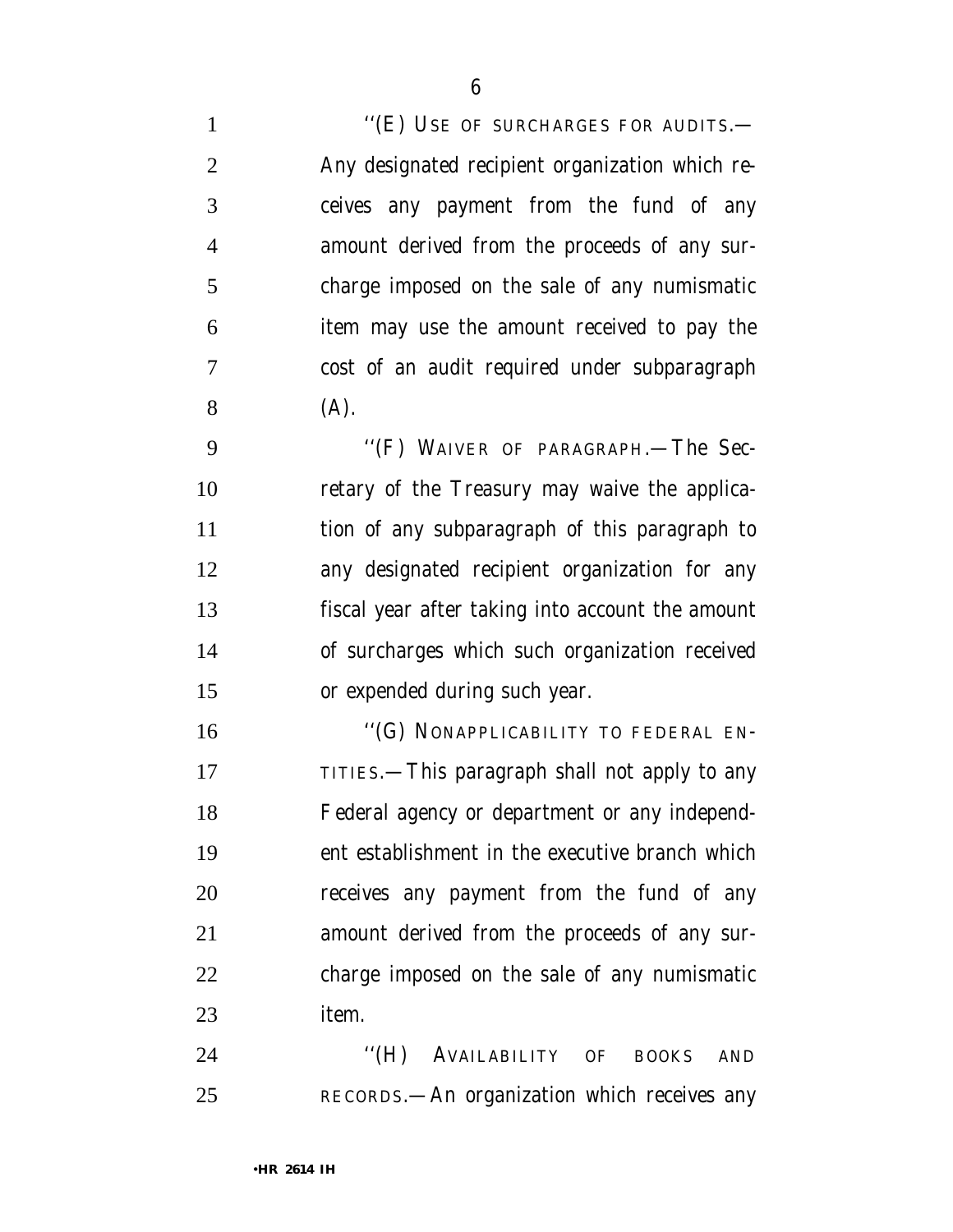1 "(E) USE OF SURCHARGES FOR AUDITS.— Any designated recipient organization which re- ceives any payment from the fund of any amount derived from the proceeds of any sur- charge imposed on the sale of any numismatic item may use the amount received to pay the cost of an audit required under subparagraph (A). ''(F) WAIVER OF PARAGRAPH.—The Sec- retary of the Treasury may waive the applica- tion of any subparagraph of this paragraph to any designated recipient organization for any

 fiscal year after taking into account the amount of surcharges which such organization received or expended during such year.

16 "(G) NONAPPLICABILITY TO FEDERAL EN-17 TITIES.—This paragraph shall not apply to any Federal agency or department or any independ- ent establishment in the executive branch which receives any payment from the fund of any amount derived from the proceeds of any sur- charge imposed on the sale of any numismatic item.

24 "(H) AVAILABILITY OF BOOKS AND RECORDS.—An organization which receives any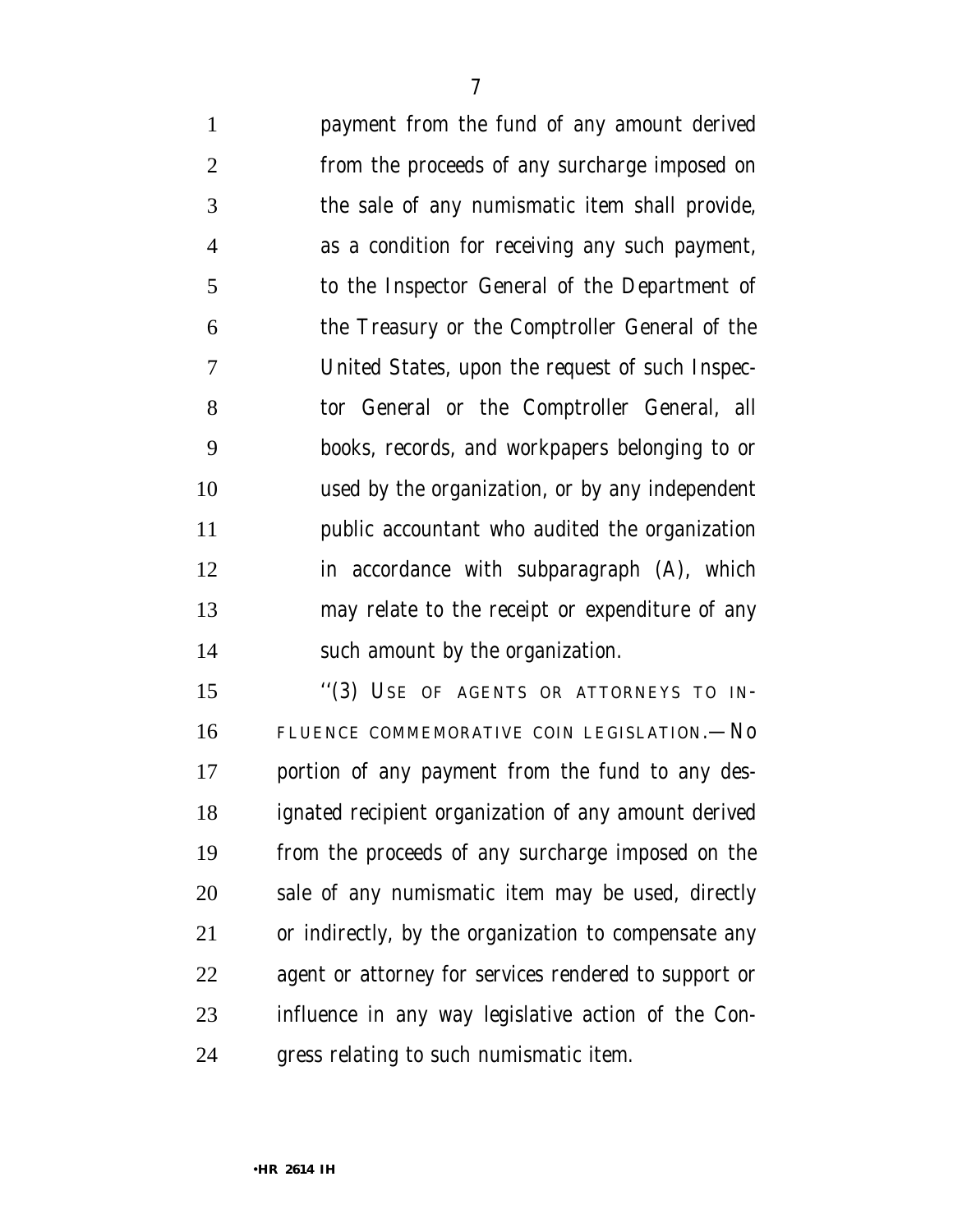payment from the fund of any amount derived from the proceeds of any surcharge imposed on the sale of any numismatic item shall provide, as a condition for receiving any such payment, to the Inspector General of the Department of the Treasury or the Comptroller General of the United States, upon the request of such Inspec- tor General or the Comptroller General, all books, records, and workpapers belonging to or used by the organization, or by any independent public accountant who audited the organization in accordance with subparagraph (A), which may relate to the receipt or expenditure of any such amount by the organization.

 ''(3) USE OF AGENTS OR ATTORNEYS TO IN- FLUENCE COMMEMORATIVE COIN LEGISLATION.—No portion of any payment from the fund to any des- ignated recipient organization of any amount derived from the proceeds of any surcharge imposed on the sale of any numismatic item may be used, directly or indirectly, by the organization to compensate any agent or attorney for services rendered to support or influence in any way legislative action of the Con-gress relating to such numismatic item.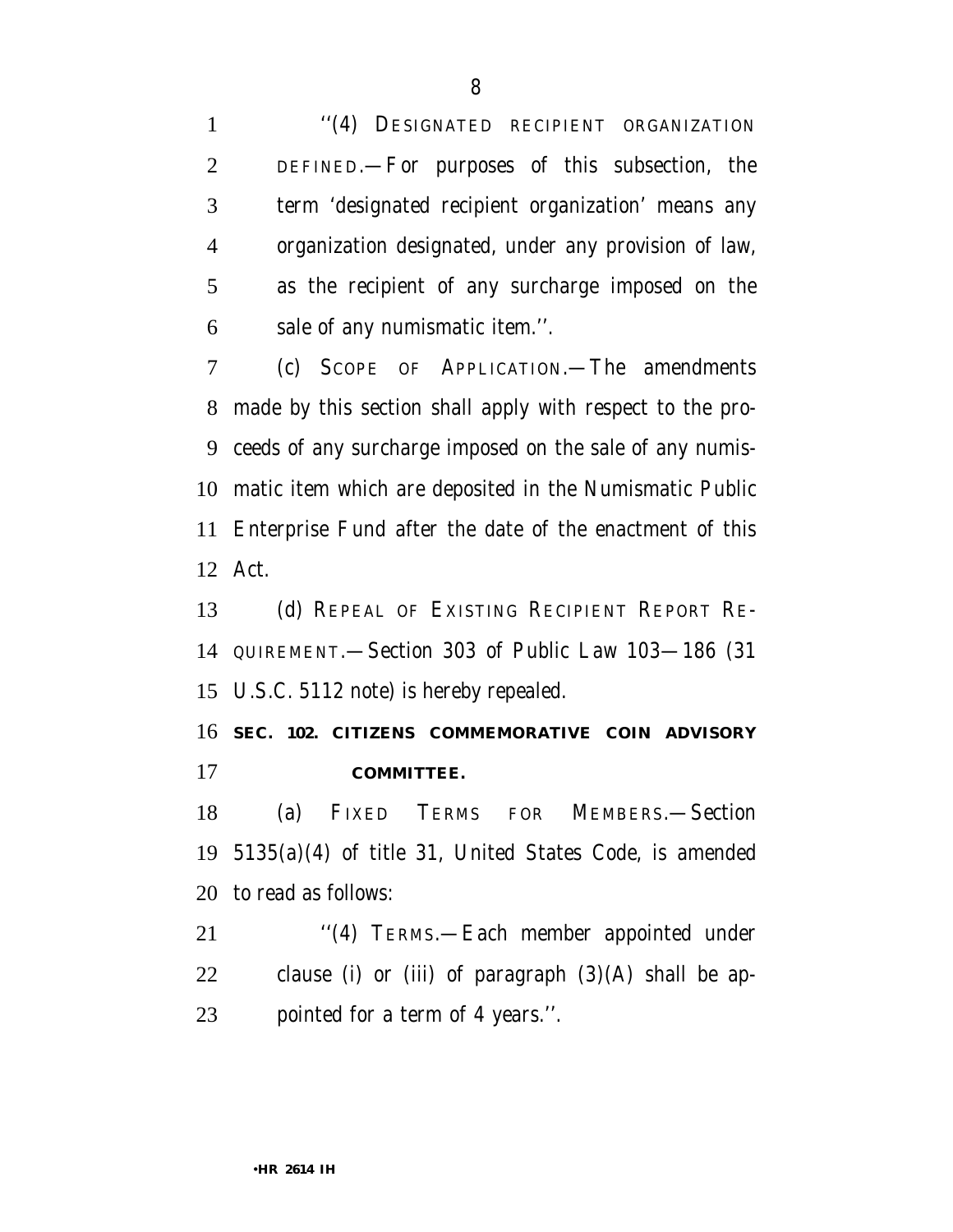''(4) DESIGNATED RECIPIENT ORGANIZATION DEFINED.—For purposes of this subsection, the term 'designated recipient organization' means any organization designated, under any provision of law, as the recipient of any surcharge imposed on the sale of any numismatic item.''.

 (c) SCOPE OF APPLICATION.—The amendments made by this section shall apply with respect to the pro- ceeds of any surcharge imposed on the sale of any numis- matic item which are deposited in the Numismatic Public Enterprise Fund after the date of the enactment of this Act.

 (d) REPEAL OF EXISTING RECIPIENT REPORT RE- QUIREMENT.—Section 303 of Public Law 103—186 (31 U.S.C. 5112 note) is hereby repealed.

 **SEC. 102. CITIZENS COMMEMORATIVE COIN ADVISORY COMMITTEE.**

 (a) FIXED TERMS FOR MEMBERS.—Section 5135(a)(4) of title 31, United States Code, is amended to read as follows:

 ''(4) TERMS.—Each member appointed under clause (i) or (iii) of paragraph (3)(A) shall be ap-pointed for a term of 4 years.''.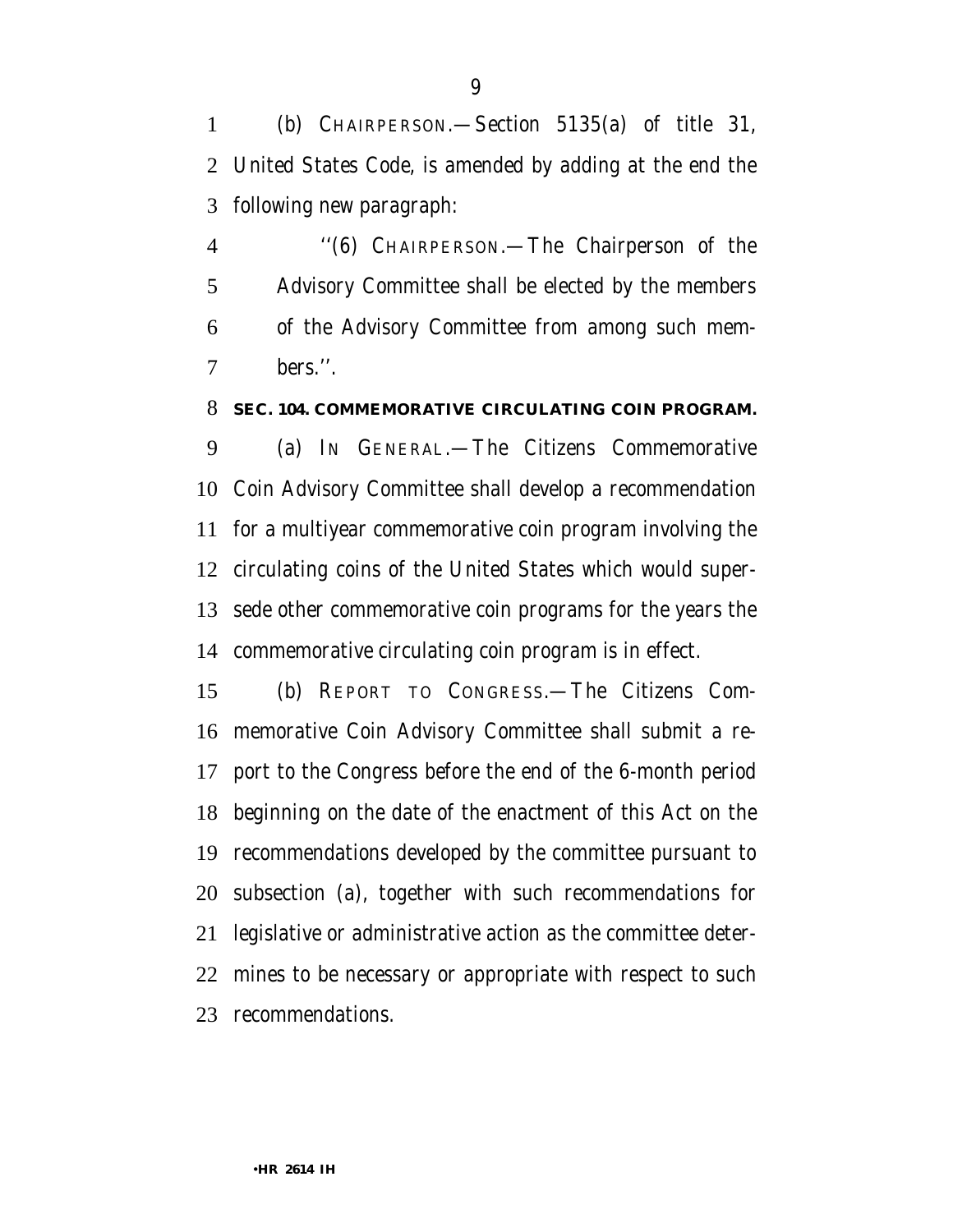(b) CHAIRPERSON.—Section 5135(a) of title 31, United States Code, is amended by adding at the end the following new paragraph:

 ''(6) CHAIRPERSON.—The Chairperson of the Advisory Committee shall be elected by the members of the Advisory Committee from among such mem-bers.''.

#### **SEC. 104. COMMEMORATIVE CIRCULATING COIN PROGRAM.**

 (a) IN GENERAL.—The Citizens Commemorative Coin Advisory Committee shall develop a recommendation for a multiyear commemorative coin program involving the circulating coins of the United States which would super- sede other commemorative coin programs for the years the commemorative circulating coin program is in effect.

 (b) REPORT TO CONGRESS.—The Citizens Com- memorative Coin Advisory Committee shall submit a re- port to the Congress before the end of the 6-month period beginning on the date of the enactment of this Act on the recommendations developed by the committee pursuant to subsection (a), together with such recommendations for legislative or administrative action as the committee deter- mines to be necessary or appropriate with respect to such recommendations.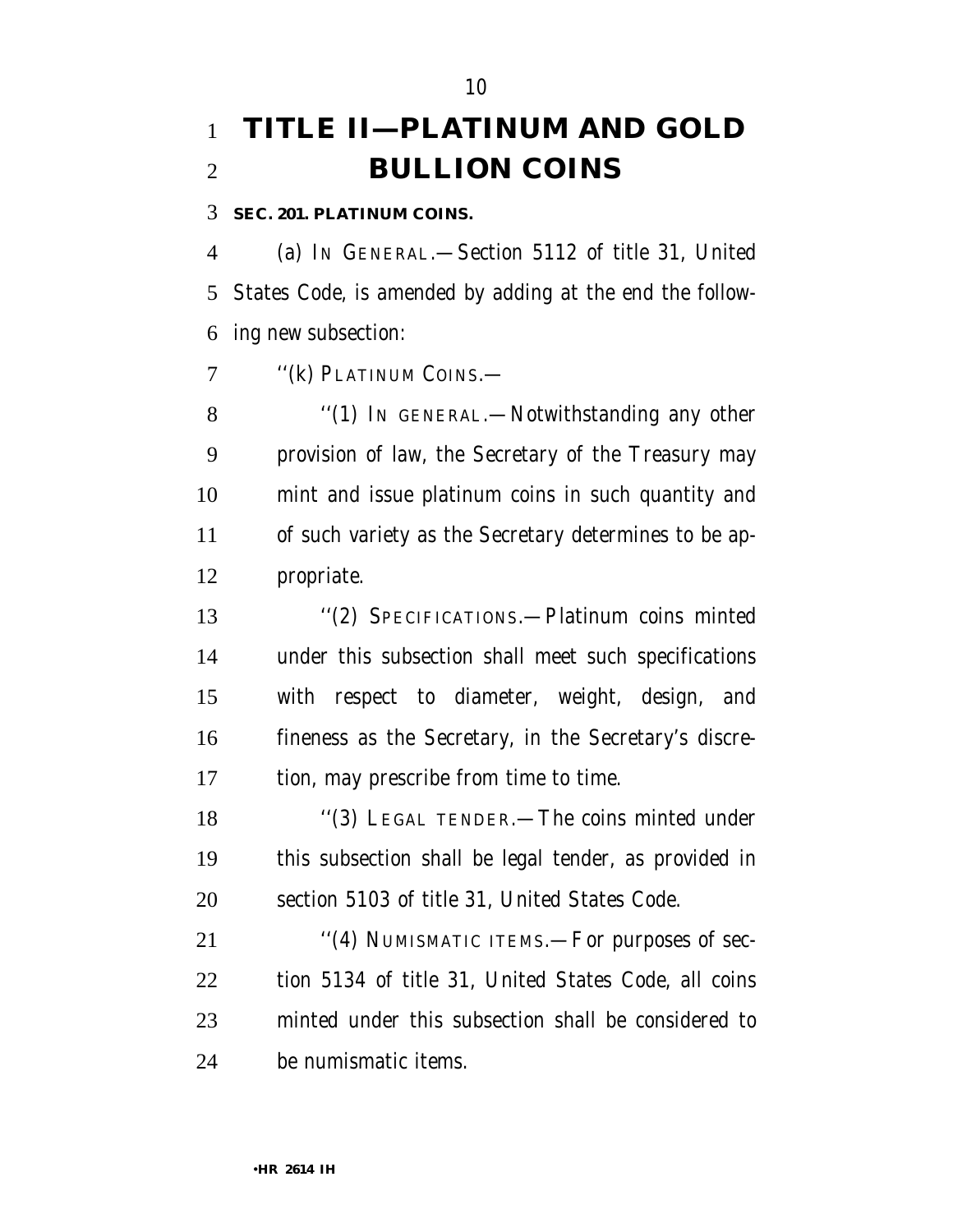# **TITLE II—PLATINUM AND GOLD BULLION COINS**

**SEC. 201. PLATINUM COINS.**

 (a) IN GENERAL.—Section 5112 of title 31, United States Code, is amended by adding at the end the follow-ing new subsection:

7 "(k) PLATINUM COINS.—

8 "(1) IN GENERAL.—Notwithstanding any other provision of law, the Secretary of the Treasury may mint and issue platinum coins in such quantity and of such variety as the Secretary determines to be ap-propriate.

 ''(2) SPECIFICATIONS.—Platinum coins minted under this subsection shall meet such specifications with respect to diameter, weight, design, and fineness as the Secretary, in the Secretary's discre-tion, may prescribe from time to time.

 ''(3) LEGAL TENDER.—The coins minted under this subsection shall be legal tender, as provided in section 5103 of title 31, United States Code.

21 "(4) NUMISMATIC ITEMS.—For purposes of sec- tion 5134 of title 31, United States Code, all coins minted under this subsection shall be considered to be numismatic items.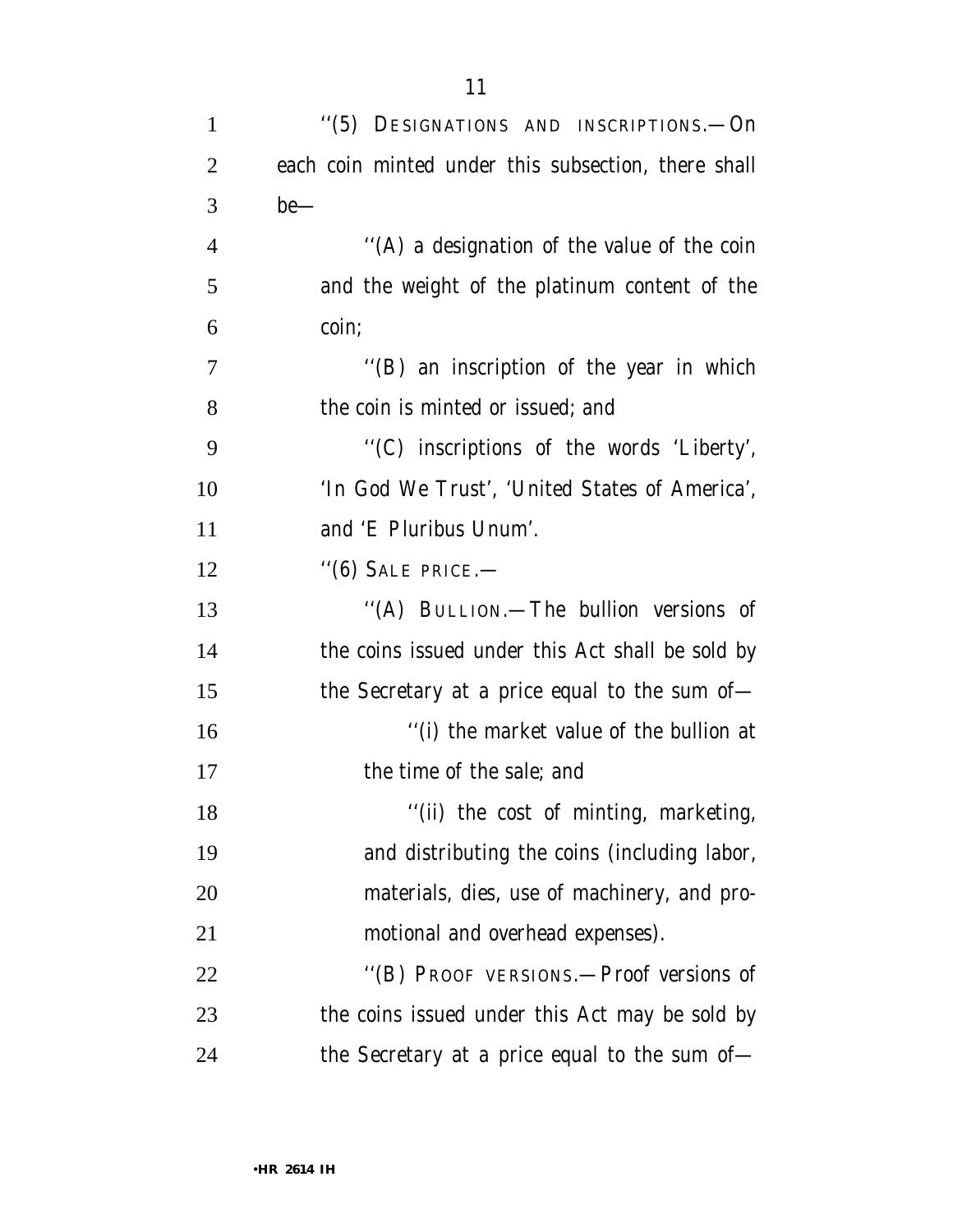| $\mathbf{1}$   | "(5) DESIGNATIONS AND INSCRIPTIONS.—On              |
|----------------|-----------------------------------------------------|
| $\overline{2}$ | each coin minted under this subsection, there shall |
| 3              | $be$ —                                              |
| $\overline{4}$ | "(A) a designation of the value of the coin         |
| 5              | and the weight of the platinum content of the       |
| 6              | coin;                                               |
| $\overline{7}$ | "(B) an inscription of the year in which            |
| 8              | the coin is minted or issued; and                   |
| 9              | "(C) inscriptions of the words 'Liberty',           |
| 10             | 'In God We Trust', 'United States of America',      |
| 11             | and 'E Pluribus Unum'.                              |
| 12             | $"(6)$ Sale price.—                                 |
| 13             | "(A) BULLION.—The bullion versions of               |
| 14             | the coins issued under this Act shall be sold by    |
| 15             | the Secretary at a price equal to the sum of $-$    |
| 16             | "(i) the market value of the bullion at             |
| 17             | the time of the sale; and                           |
| 18             | "(ii) the cost of minting, marketing,               |
| 19             | and distributing the coins (including labor,        |
| 20             | materials, dies, use of machinery, and pro-         |
| 21             | motional and overhead expenses).                    |
| 22             | "(B) PROOF VERSIONS.—Proof versions of              |
| 23             | the coins issued under this Act may be sold by      |
| 24             | the Secretary at a price equal to the sum of-       |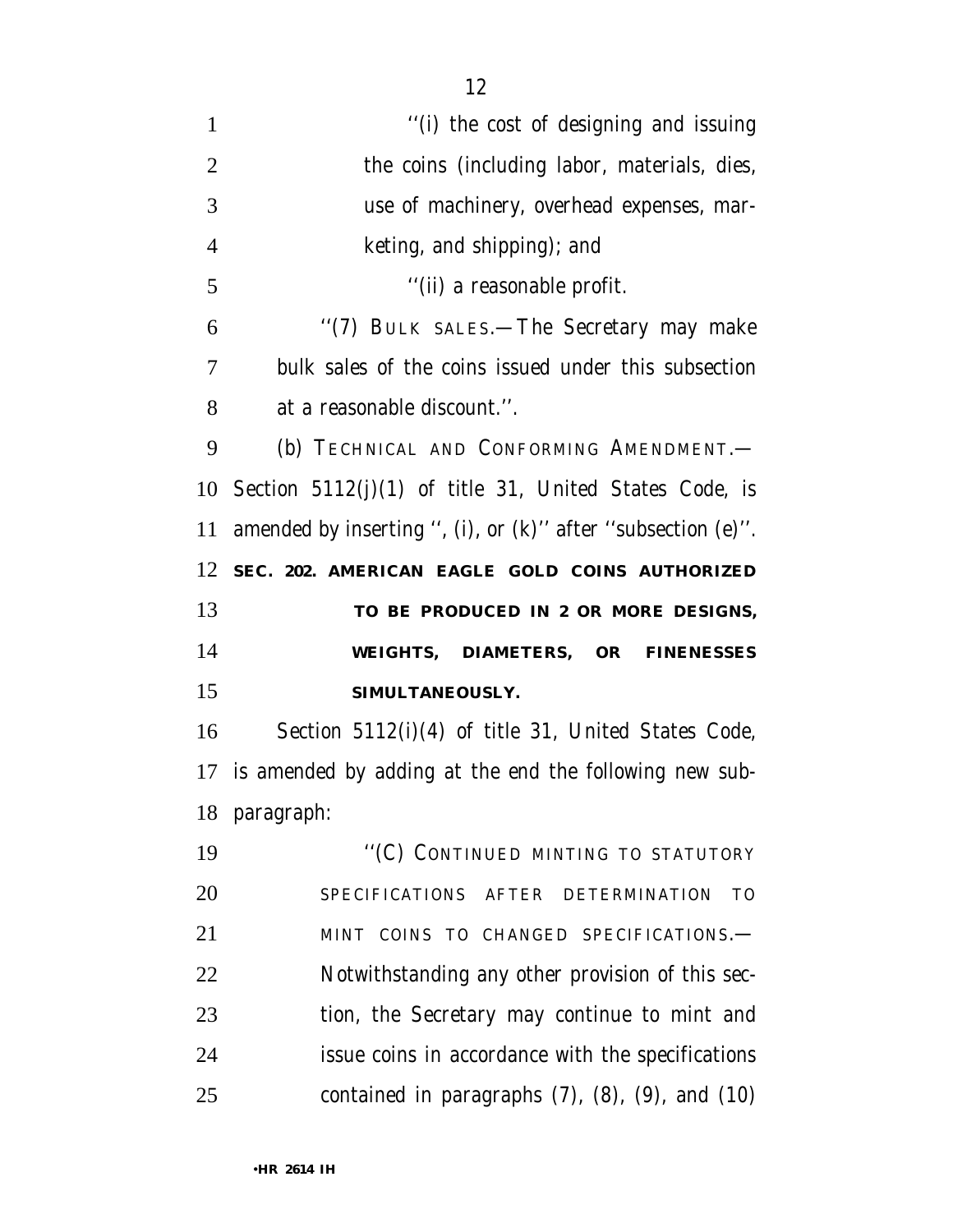$\frac{1}{1}$  the cost of designing and issuing 2 the coins (including labor, materials, dies, use of machinery, overhead expenses, mar- keting, and shipping); and 5 ''(ii) a reasonable profit. ''(7) BULK SALES.—The Secretary may make bulk sales of the coins issued under this subsection at a reasonable discount.''. (b) TECHNICAL AND CONFORMING AMENDMENT.— Section 5112(j)(1) of title 31, United States Code, is amended by inserting '', (i), or (k)'' after ''subsection (e)''. **SEC. 202. AMERICAN EAGLE GOLD COINS AUTHORIZED TO BE PRODUCED IN 2 OR MORE DESIGNS, WEIGHTS, DIAMETERS, OR FINENESSES SIMULTANEOUSLY.** Section 5112(i)(4) of title 31, United States Code, is amended by adding at the end the following new sub- paragraph: 19 "(C) CONTINUED MINTING TO STATUTORY

 SPECIFICATIONS AFTER DETERMINATION TO MINT COINS TO CHANGED SPECIFICATIONS.— Notwithstanding any other provision of this sec- tion, the Secretary may continue to mint and issue coins in accordance with the specifications contained in paragraphs (7), (8), (9), and (10)